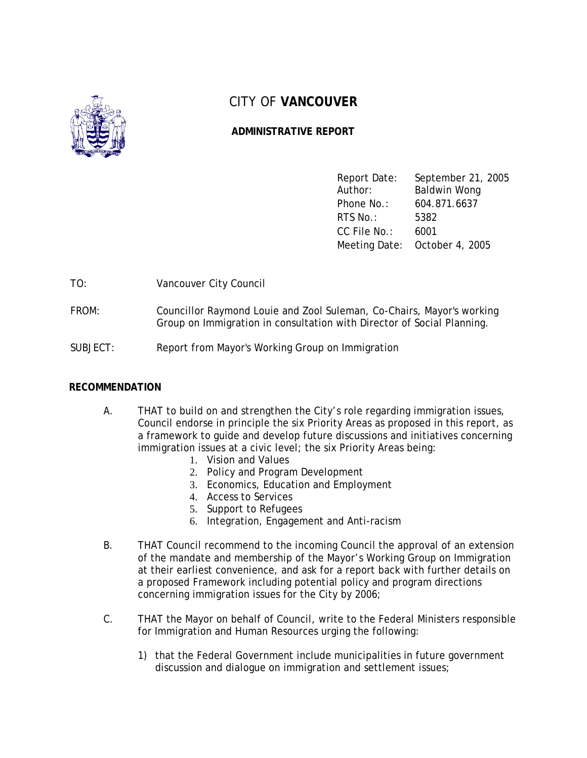

# CITY OF **VANCOUVER**

## **ADMINISTRATIVE REPORT**

| Report Date:<br>Author: | September 21, 2005<br>Baldwin Wong |
|-------------------------|------------------------------------|
| Phone No.:              | 604.871.6637                       |
| $RTS$ No.:              | 5382                               |
| CC File No.:            | 6001                               |
|                         | Meeting Date: October 4, 2005      |

TO: Vancouver City Council

- FROM: Councillor Raymond Louie and Zool Suleman, Co-Chairs, Mayor's working Group on Immigration in consultation with Director of Social Planning.
- SUBJECT: Report from Mayor's Working Group on Immigration

## **RECOMMENDATION**

- A. THAT to build on and strengthen the City's role regarding immigration issues, Council endorse in principle the six Priority Areas as proposed in this report, as a framework to guide and develop future discussions and initiatives concerning immigration issues at a civic level; the six Priority Areas being:
	- 1. Vision and Values
	- 2. Policy and Program Development
	- 3. Economics, Education and Employment
	- 4. Access to Services
	- 5. Support to Refugees
	- 6. Integration, Engagement and Anti-racism
- B. THAT Council recommend to the incoming Council the approval of an extension of the mandate and membership of the Mayor's Working Group on Immigration at their earliest convenience, and ask for a report back with further details on a proposed Framework including potential policy and program directions concerning immigration issues for the City by 2006;
- C. THAT the Mayor on behalf of Council, write to the Federal Ministers responsible for Immigration and Human Resources urging the following:
	- 1) that the Federal Government include municipalities in future government discussion and dialogue on immigration and settlement issues;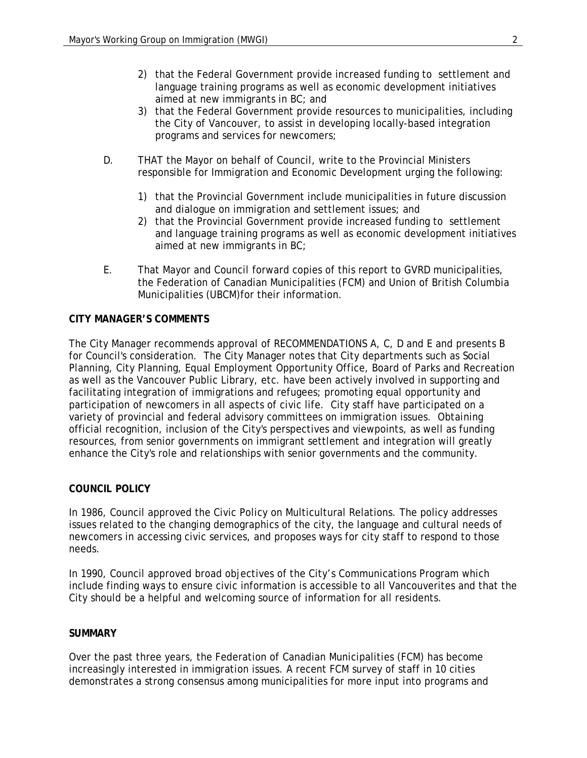- 2) that the Federal Government provide increased funding to settlement and language training programs as well as economic development initiatives aimed at new immigrants in BC; and
- 3) that the Federal Government provide resources to municipalities, including the City of Vancouver, to assist in developing locally-based integration programs and services for newcomers;
- D. THAT the Mayor on behalf of Council, write to the Provincial Ministers responsible for Immigration and Economic Development urging the following:
	- 1) that the Provincial Government include municipalities in future discussion and dialogue on immigration and settlement issues; and
	- 2) that the Provincial Government provide increased funding to settlement and language training programs as well as economic development initiatives aimed at new immigrants in BC;
- E. That Mayor and Council forward copies of this report to GVRD municipalities, the Federation of Canadian Municipalities (FCM) and Union of British Columbia Municipalities (UBCM)for their information.

## **CITY MANAGER'S COMMENTS**

The City Manager recommends approval of RECOMMENDATIONS A, C, D and E and presents B for Council's consideration. The City Manager notes that City departments such as Social Planning, City Planning, Equal Employment Opportunity Office, Board of Parks and Recreation as well as the Vancouver Public Library, etc. have been actively involved in supporting and facilitating integration of immigrations and refugees; promoting equal opportunity and participation of newcomers in all aspects of civic life. City staff have participated on a variety of provincial and federal advisory committees on immigration issues. Obtaining official recognition, inclusion of the City's perspectives and viewpoints, as well as funding resources, from senior governments on immigrant settlement and integration will greatly enhance the City's role and relationships with senior governments and the community.

## **COUNCIL POLICY**

In 1986, Council approved the Civic Policy on Multicultural Relations. The policy addresses issues related to the changing demographics of the city, the language and cultural needs of newcomers in accessing civic services, and proposes ways for city staff to respond to those needs.

In 1990, Council approved broad objectives of the City's Communications Program which include finding ways to ensure civic information is accessible to all Vancouverites and that the City should be a helpful and welcoming source of information for all residents.

## **SUMMARY**

Over the past three years, the Federation of Canadian Municipalities (FCM) has become increasingly interested in immigration issues. A recent FCM survey of staff in 10 cities demonstrates a strong consensus among municipalities for more input into programs and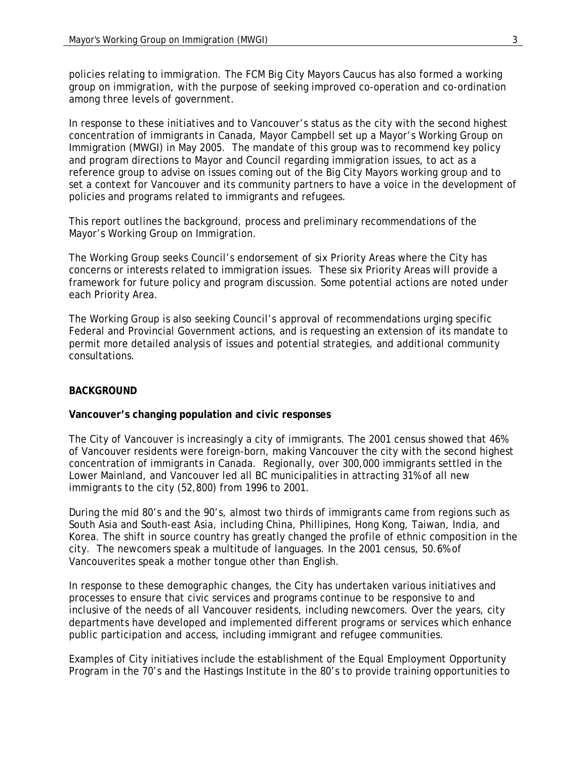policies relating to immigration. The FCM Big City Mayors Caucus has also formed a working group on immigration, with the purpose of seeking improved co-operation and co-ordination among three levels of government.

In response to these initiatives and to Vancouver's status as the city with the second highest concentration of immigrants in Canada, Mayor Campbell set up a Mayor's Working Group on Immigration (MWGI) in May 2005. The mandate of this group was to recommend key policy and program directions to Mayor and Council regarding immigration issues, to act as a reference group to advise on issues coming out of the Big City Mayors working group and to set a context for Vancouver and its community partners to have a voice in the development of policies and programs related to immigrants and refugees.

This report outlines the background, process and preliminary recommendations of the Mayor's Working Group on Immigration.

The Working Group seeks Council's endorsement of six Priority Areas where the City has concerns or interests related to immigration issues. These six Priority Areas will provide a framework for future policy and program discussion. Some potential actions are noted under each Priority Area.

The Working Group is also seeking Council's approval of recommendations urging specific Federal and Provincial Government actions, and is requesting an extension of its mandate to permit more detailed analysis of issues and potential strategies, and additional community consultations.

## **BACKGROUND**

#### **Vancouver's changing population and civic responses**

The City of Vancouver is increasingly a city of immigrants. The 2001 census showed that 46% of Vancouver residents were foreign-born, making Vancouver the city with the second highest concentration of immigrants in Canada. Regionally, over 300,000 immigrants settled in the Lower Mainland, and Vancouver led all BC municipalities in attracting 31% of all new immigrants to the city (52,800) from 1996 to 2001.

During the mid 80's and the 90's, almost two thirds of immigrants came from regions such as South Asia and South-east Asia, including China, Phillipines, Hong Kong, Taiwan, India, and Korea. The shift in source country has greatly changed the profile of ethnic composition in the city. The newcomers speak a multitude of languages. In the 2001 census, 50.6% of Vancouverites speak a mother tongue other than English.

In response to these demographic changes, the City has undertaken various initiatives and processes to ensure that civic services and programs continue to be responsive to and inclusive of the needs of all Vancouver residents, including newcomers. Over the years, city departments have developed and implemented different programs or services which enhance public participation and access, including immigrant and refugee communities.

Examples of City initiatives include the establishment of the Equal Employment Opportunity Program in the 70's and the Hastings Institute in the 80's to provide training opportunities to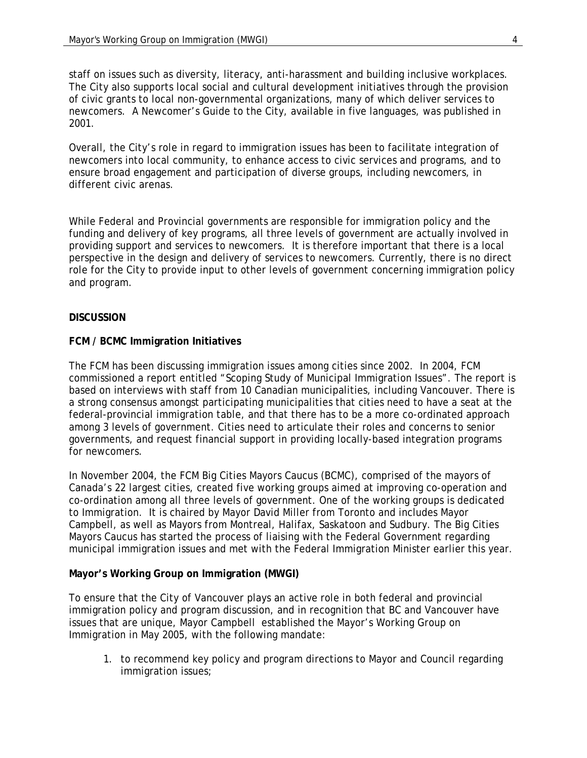staff on issues such as diversity, literacy, anti-harassment and building inclusive workplaces. The City also supports local social and cultural development initiatives through the provision of civic grants to local non-governmental organizations, many of which deliver services to newcomers. A Newcomer's Guide to the City, available in five languages, was published in 2001.

Overall, the City's role in regard to immigration issues has been to facilitate integration of newcomers into local community, to enhance access to civic services and programs, and to ensure broad engagement and participation of diverse groups, including newcomers, in different civic arenas.

While Federal and Provincial governments are responsible for immigration policy and the funding and delivery of key programs, all three levels of government are actually involved in providing support and services to newcomers. It is therefore important that there is a local perspective in the design and delivery of services to newcomers. Currently, there is no direct role for the City to provide input to other levels of government concerning immigration policy and program.

### **DISCUSSION**

### **FCM / BCMC Immigration Initiatives**

The FCM has been discussing immigration issues among cities since 2002. In 2004, FCM commissioned a report entitled "Scoping Study of Municipal Immigration Issues". The report is based on interviews with staff from 10 Canadian municipalities, including Vancouver. There is a strong consensus amongst participating municipalities that cities need to have a seat at the federal-provincial immigration table, and that there has to be a more co-ordinated approach among 3 levels of government. Cities need to articulate their roles and concerns to senior governments, and request financial support in providing locally-based integration programs for newcomers.

In November 2004, the FCM Big Cities Mayors Caucus (BCMC), comprised of the mayors of Canada's 22 largest cities, created five working groups aimed at improving co-operation and co-ordination among all three levels of government. One of the working groups is dedicated to Immigration. It is chaired by Mayor David Miller from Toronto and includes Mayor Campbell, as well as Mayors from Montreal, Halifax, Saskatoon and Sudbury. The Big Cities Mayors Caucus has started the process of liaising with the Federal Government regarding municipal immigration issues and met with the Federal Immigration Minister earlier this year.

#### **Mayor's Working Group on Immigration (MWGI)**

To ensure that the City of Vancouver plays an active role in both federal and provincial immigration policy and program discussion, and in recognition that BC and Vancouver have issues that are unique, Mayor Campbell established the Mayor's Working Group on Immigration in May 2005, with the following mandate:

1. to recommend key policy and program directions to Mayor and Council regarding immigration issues;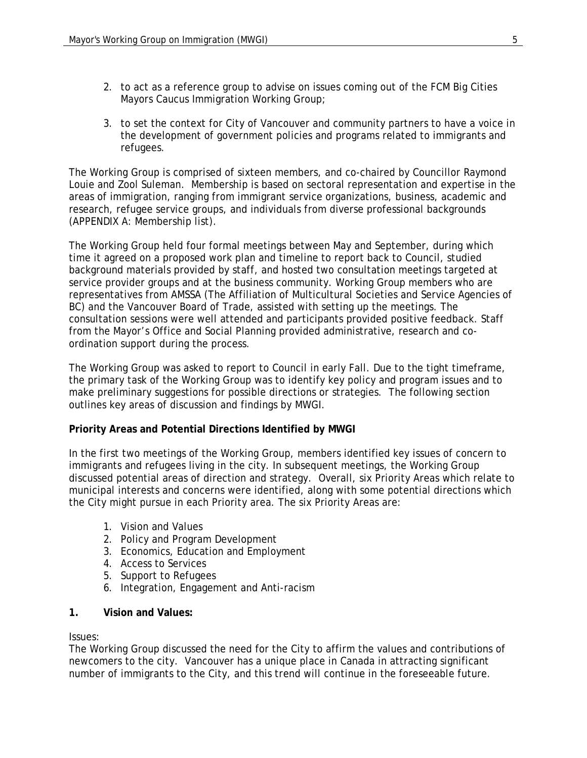- 2. to act as a reference group to advise on issues coming out of the FCM Big Cities Mayors Caucus Immigration Working Group;
- 3. to set the context for City of Vancouver and community partners to have a voice in the development of government policies and programs related to immigrants and refugees.

The Working Group is comprised of sixteen members, and co-chaired by Councillor Raymond Louie and Zool Suleman. Membership is based on sectoral representation and expertise in the areas of immigration, ranging from immigrant service organizations, business, academic and research, refugee service groups, and individuals from diverse professional backgrounds (APPENDIX A: Membership list).

The Working Group held four formal meetings between May and September, during which time it agreed on a proposed work plan and timeline to report back to Council, studied background materials provided by staff, and hosted two consultation meetings targeted at service provider groups and at the business community. Working Group members who are representatives from AMSSA (The Affiliation of Multicultural Societies and Service Agencies of BC) and the Vancouver Board of Trade, assisted with setting up the meetings. The consultation sessions were well attended and participants provided positive feedback. Staff from the Mayor's Office and Social Planning provided administrative, research and coordination support during the process.

The Working Group was asked to report to Council in early Fall. Due to the tight timeframe, the primary task of the Working Group was to identify key policy and program issues and to make preliminary suggestions for possible directions or strategies. The following section outlines key areas of discussion and findings by MWGI.

## **Priority Areas and Potential Directions Identified by MWGI**

In the first two meetings of the Working Group, members identified key issues of concern to immigrants and refugees living in the city. In subsequent meetings, the Working Group discussed potential areas of direction and strategy. Overall, six Priority Areas which relate to municipal interests and concerns were identified, along with some potential directions which the City might pursue in each Priority area. The six Priority Areas are:

- 1. Vision and Values
- 2. Policy and Program Development
- 3. Economics, Education and Employment
- 4. Access to Services
- 5. Support to Refugees
- 6. Integration, Engagement and Anti-racism
- **1. Vision and Values:**

#### Issues:

The Working Group discussed the need for the City to affirm the values and contributions of newcomers to the city. Vancouver has a unique place in Canada in attracting significant number of immigrants to the City, and this trend will continue in the foreseeable future.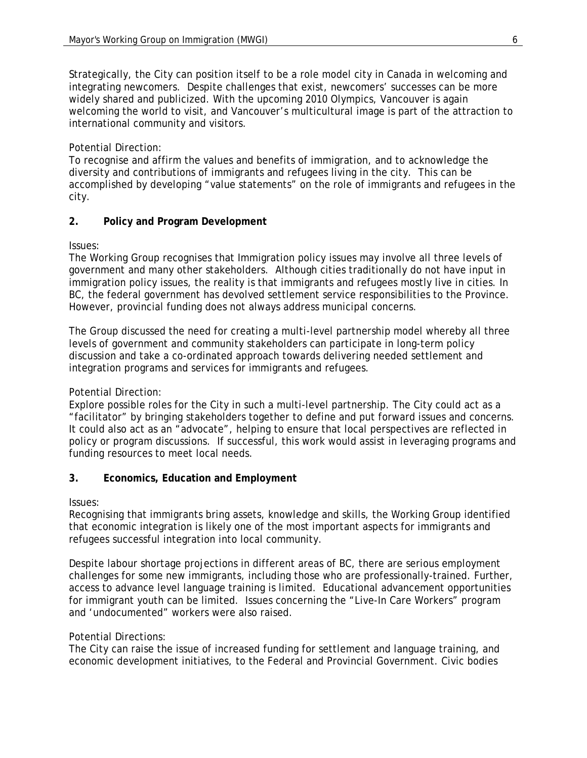Strategically, the City can position itself to be a role model city in Canada in welcoming and integrating newcomers. Despite challenges that exist, newcomers' successes can be more widely shared and publicized. With the upcoming 2010 Olympics, Vancouver is again welcoming the world to visit, and Vancouver's multicultural image is part of the attraction to international community and visitors.

## Potential Direction:

To recognise and affirm the values and benefits of immigration, and to acknowledge the diversity and contributions of immigrants and refugees living in the city. This can be accomplished by developing "value statements" on the role of immigrants and refugees in the city.

## **2. Policy and Program Development**

Issues:

The Working Group recognises that Immigration policy issues may involve all three levels of government and many other stakeholders. Although cities traditionally do not have input in immigration policy issues, the reality is that immigrants and refugees mostly live in cities. In BC, the federal government has devolved settlement service responsibilities to the Province. However, provincial funding does not always address municipal concerns.

The Group discussed the need for creating a multi-level partnership model whereby all three levels of government and community stakeholders can participate in long-term policy discussion and take a co-ordinated approach towards delivering needed settlement and integration programs and services for immigrants and refugees.

## Potential Direction:

Explore possible roles for the City in such a multi-level partnership. The City could act as a "facilitator" by bringing stakeholders together to define and put forward issues and concerns. It could also act as an "advocate", helping to ensure that local perspectives are reflected in policy or program discussions. If successful, this work would assist in leveraging programs and funding resources to meet local needs.

## **3. Economics, Education and Employment**

Issues:

Recognising that immigrants bring assets, knowledge and skills, the Working Group identified that economic integration is likely one of the most important aspects for immigrants and refugees successful integration into local community.

Despite labour shortage projections in different areas of BC, there are serious employment challenges for some new immigrants, including those who are professionally-trained. Further, access to advance level language training is limited. Educational advancement opportunities for immigrant youth can be limited. Issues concerning the "Live-In Care Workers" program and 'undocumented" workers were also raised.

## Potential Directions:

The City can raise the issue of increased funding for settlement and language training, and economic development initiatives, to the Federal and Provincial Government. Civic bodies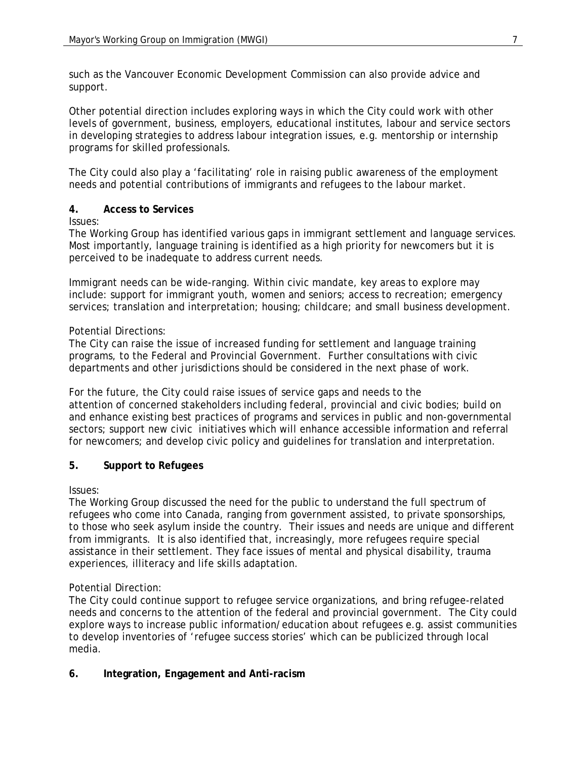such as the Vancouver Economic Development Commission can also provide advice and support.

Other potential direction includes exploring ways in which the City could work with other levels of government, business, employers, educational institutes, labour and service sectors in developing strategies to address labour integration issues, e.g. mentorship or internship programs for skilled professionals.

The City could also play a 'facilitating' role in raising public awareness of the employment needs and potential contributions of immigrants and refugees to the labour market.

## **4. Access to Services**

Issues:

The Working Group has identified various gaps in immigrant settlement and language services. Most importantly, language training is identified as a high priority for newcomers but it is perceived to be inadequate to address current needs.

Immigrant needs can be wide-ranging. Within civic mandate, key areas to explore may include: support for immigrant youth, women and seniors; access to recreation; emergency services; translation and interpretation; housing; childcare; and small business development.

## Potential Directions:

The City can raise the issue of increased funding for settlement and language training programs, to the Federal and Provincial Government. Further consultations with civic departments and other jurisdictions should be considered in the next phase of work.

For the future, the City could raise issues of service gaps and needs to the attention of concerned stakeholders including federal, provincial and civic bodies; build on and enhance existing best practices of programs and services in public and non-governmental sectors; support new civic initiatives which will enhance accessible information and referral for newcomers; and develop civic policy and guidelines for translation and interpretation.

## **5. Support to Refugees**

Issues:

The Working Group discussed the need for the public to understand the full spectrum of refugees who come into Canada, ranging from government assisted, to private sponsorships, to those who seek asylum inside the country. Their issues and needs are unique and different from immigrants. It is also identified that, increasingly, more refugees require special assistance in their settlement. They face issues of mental and physical disability, trauma experiences, illiteracy and life skills adaptation.

## Potential Direction:

The City could continue support to refugee service organizations, and bring refugee-related needs and concerns to the attention of the federal and provincial government. The City could explore ways to increase public information/education about refugees e.g. assist communities to develop inventories of 'refugee success stories' which can be publicized through local media.

## **6. Integration, Engagement and Anti-racism**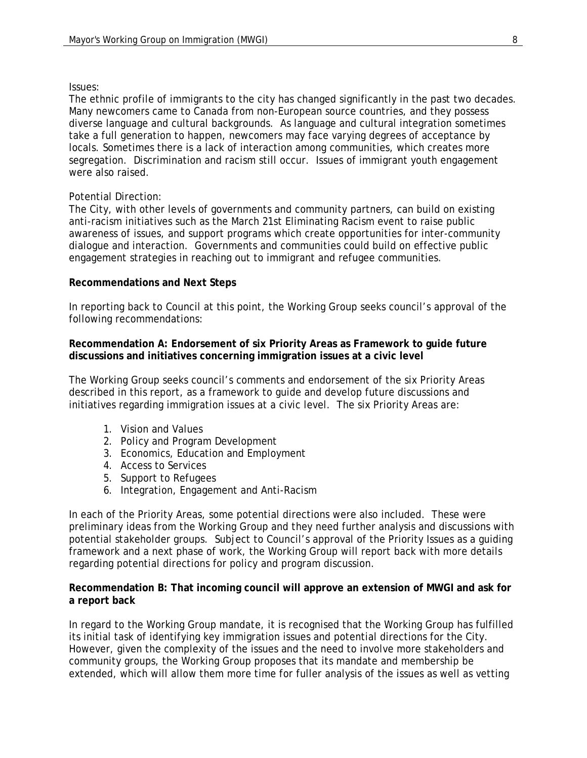#### Issues:

The ethnic profile of immigrants to the city has changed significantly in the past two decades. Many newcomers came to Canada from non-European source countries, and they possess diverse language and cultural backgrounds. As language and cultural integration sometimes take a full generation to happen, newcomers may face varying degrees of acceptance by locals. Sometimes there is a lack of interaction among communities, which creates more segregation. Discrimination and racism still occur. Issues of immigrant youth engagement were also raised.

#### Potential Direction:

The City, with other levels of governments and community partners, can build on existing anti-racism initiatives such as the March 21st Eliminating Racism event to raise public awareness of issues, and support programs which create opportunities for inter-community dialogue and interaction. Governments and communities could build on effective public engagement strategies in reaching out to immigrant and refugee communities.

#### **Recommendations and Next Steps**

In reporting back to Council at this point, the Working Group seeks council's approval of the following recommendations:

#### **Recommendation A: Endorsement of six Priority Areas as Framework to guide future discussions and initiatives concerning immigration issues at a civic level**

The Working Group seeks council's comments and endorsement of the six Priority Areas described in this report, as a framework to guide and develop future discussions and initiatives regarding immigration issues at a civic level. The six Priority Areas are:

- 1. Vision and Values
- 2. Policy and Program Development
- 3. Economics, Education and Employment
- 4. Access to Services
- 5. Support to Refugees
- 6. Integration, Engagement and Anti-Racism

In each of the Priority Areas, some potential directions were also included. These were preliminary ideas from the Working Group and they need further analysis and discussions with potential stakeholder groups. Subject to Council's approval of the Priority Issues as a guiding framework and a next phase of work, the Working Group will report back with more details regarding potential directions for policy and program discussion.

#### **Recommendation B: That incoming council will approve an extension of MWGI and ask for a report back**

In regard to the Working Group mandate, it is recognised that the Working Group has fulfilled its initial task of identifying key immigration issues and potential directions for the City. However, given the complexity of the issues and the need to involve more stakeholders and community groups, the Working Group proposes that its mandate and membership be extended, which will allow them more time for fuller analysis of the issues as well as vetting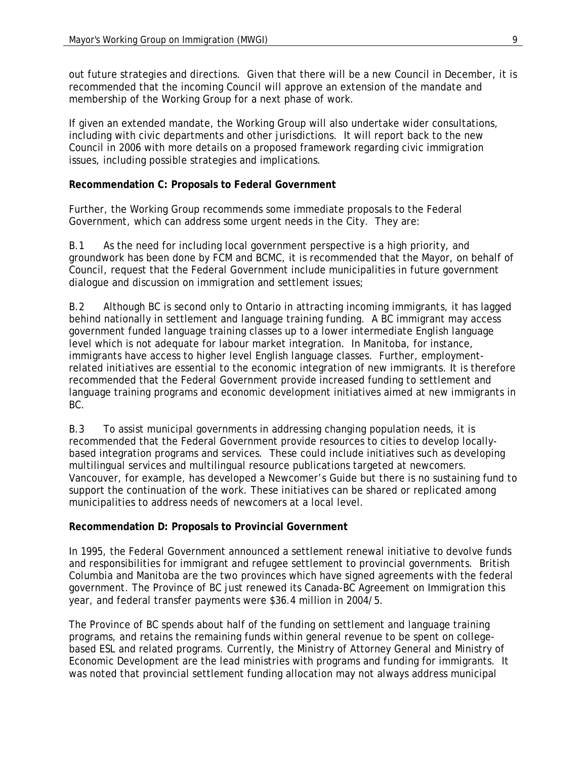out future strategies and directions. Given that there will be a new Council in December, it is recommended that the incoming Council will approve an extension of the mandate and membership of the Working Group for a next phase of work.

If given an extended mandate, the Working Group will also undertake wider consultations, including with civic departments and other jurisdictions. It will report back to the new Council in 2006 with more details on a proposed framework regarding civic immigration issues, including possible strategies and implications.

## **Recommendation C: Proposals to Federal Government**

Further, the Working Group recommends some immediate proposals to the Federal Government, which can address some urgent needs in the City. They are:

B.1 As the need for including local government perspective is a high priority, and groundwork has been done by FCM and BCMC, it is recommended that the Mayor, on behalf of Council, request that the Federal Government include municipalities in future government dialogue and discussion on immigration and settlement issues;

B.2 Although BC is second only to Ontario in attracting incoming immigrants, it has lagged behind nationally in settlement and language training funding. A BC immigrant may access government funded language training classes up to a lower intermediate English language level which is not adequate for labour market integration. In Manitoba, for instance, immigrants have access to higher level English language classes. Further, employmentrelated initiatives are essential to the economic integration of new immigrants. It is therefore recommended that the Federal Government provide increased funding to settlement and language training programs and economic development initiatives aimed at new immigrants in BC.

B.3 To assist municipal governments in addressing changing population needs, it is recommended that the Federal Government provide resources to cities to develop locallybased integration programs and services. These could include initiatives such as developing multilingual services and multilingual resource publications targeted at newcomers. Vancouver, for example, has developed a Newcomer's Guide but there is no sustaining fund to support the continuation of the work. These initiatives can be shared or replicated among municipalities to address needs of newcomers at a local level.

## **Recommendation D: Proposals to Provincial Government**

In 1995, the Federal Government announced a settlement renewal initiative to devolve funds and responsibilities for immigrant and refugee settlement to provincial governments. British Columbia and Manitoba are the two provinces which have signed agreements with the federal government. The Province of BC just renewed its Canada-BC Agreement on Immigration this year, and federal transfer payments were \$36.4 million in 2004/5.

The Province of BC spends about half of the funding on settlement and language training programs, and retains the remaining funds within general revenue to be spent on collegebased ESL and related programs. Currently, the Ministry of Attorney General and Ministry of Economic Development are the lead ministries with programs and funding for immigrants. It was noted that provincial settlement funding allocation may not always address municipal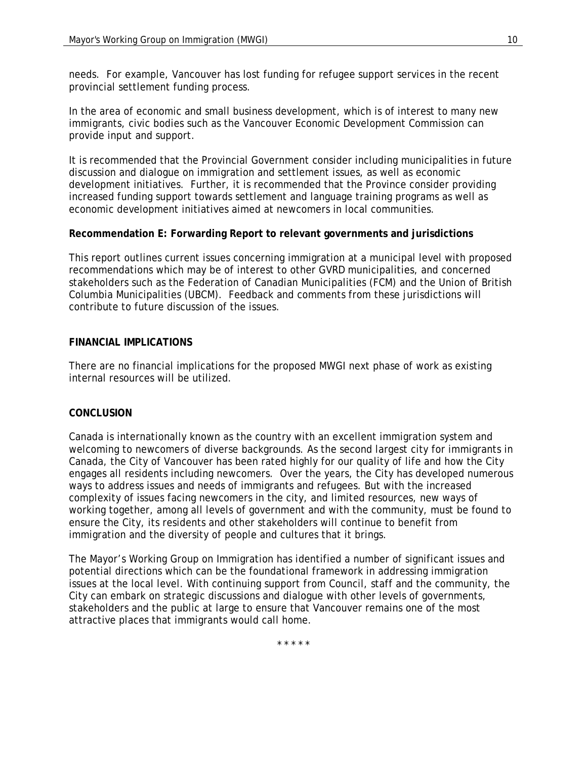needs. For example, Vancouver has lost funding for refugee support services in the recent provincial settlement funding process.

In the area of economic and small business development, which is of interest to many new immigrants, civic bodies such as the Vancouver Economic Development Commission can provide input and support.

It is recommended that the Provincial Government consider including municipalities in future discussion and dialogue on immigration and settlement issues, as well as economic development initiatives. Further, it is recommended that the Province consider providing increased funding support towards settlement and language training programs as well as economic development initiatives aimed at newcomers in local communities.

## **Recommendation E: Forwarding Report to relevant governments and jurisdictions**

This report outlines current issues concerning immigration at a municipal level with proposed recommendations which may be of interest to other GVRD municipalities, and concerned stakeholders such as the Federation of Canadian Municipalities (FCM) and the Union of British Columbia Municipalities (UBCM). Feedback and comments from these jurisdictions will contribute to future discussion of the issues.

### **FINANCIAL IMPLICATIONS**

There are no financial implications for the proposed MWGI next phase of work as existing internal resources will be utilized.

#### **CONCLUSION**

Canada is internationally known as the country with an excellent immigration system and welcoming to newcomers of diverse backgrounds. As the second largest city for immigrants in Canada, the City of Vancouver has been rated highly for our quality of life and how the City engages all residents including newcomers. Over the years, the City has developed numerous ways to address issues and needs of immigrants and refugees. But with the increased complexity of issues facing newcomers in the city, and limited resources, new ways of working together, among all levels of government and with the community, must be found to ensure the City, its residents and other stakeholders will continue to benefit from immigration and the diversity of people and cultures that it brings.

The Mayor's Working Group on Immigration has identified a number of significant issues and potential directions which can be the foundational framework in addressing immigration issues at the local level. With continuing support from Council, staff and the community, the City can embark on strategic discussions and dialogue with other levels of governments, stakeholders and the public at large to ensure that Vancouver remains one of the most attractive places that immigrants would call home.

\* \* \* \* \*